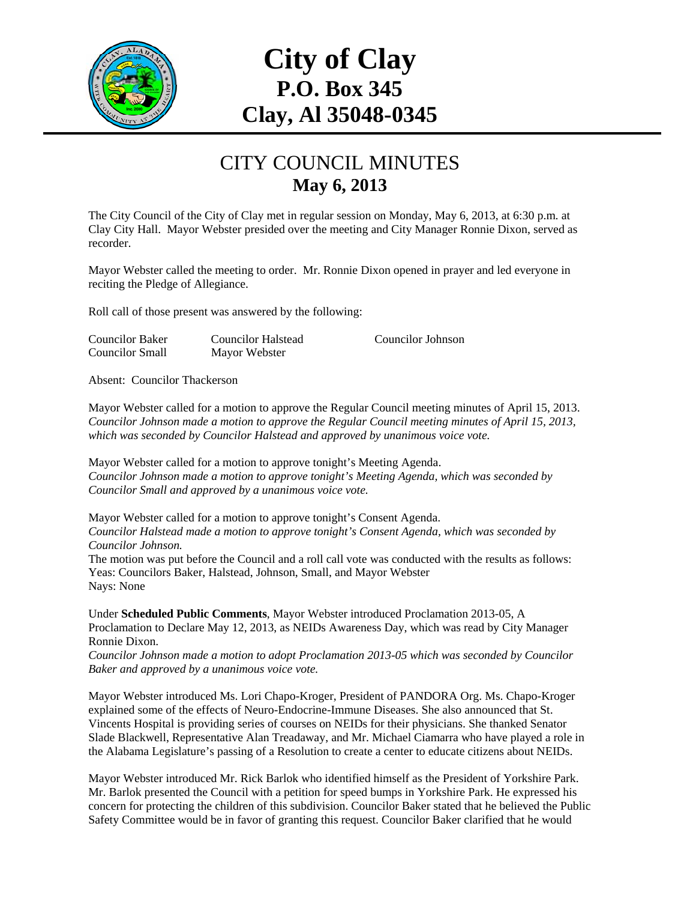

# **City of Clay P.O. Box 345 Clay, Al 35048-0345**

#### CITY COUNCIL MINUTES **May 6, 2013**

The City Council of the City of Clay met in regular session on Monday, May 6, 2013, at 6:30 p.m. at Clay City Hall. Mayor Webster presided over the meeting and City Manager Ronnie Dixon, served as recorder.

Mayor Webster called the meeting to order. Mr. Ronnie Dixon opened in prayer and led everyone in reciting the Pledge of Allegiance.

Roll call of those present was answered by the following:

Councilor Baker Councilor Halstead Councilor Johnson Councilor Small Mayor Webster

Absent: Councilor Thackerson

Mayor Webster called for a motion to approve the Regular Council meeting minutes of April 15, 2013. *Councilor Johnson made a motion to approve the Regular Council meeting minutes of April 15, 2013, which was seconded by Councilor Halstead and approved by unanimous voice vote.* 

Mayor Webster called for a motion to approve tonight's Meeting Agenda. *Councilor Johnson made a motion to approve tonight's Meeting Agenda, which was seconded by Councilor Small and approved by a unanimous voice vote.* 

Mayor Webster called for a motion to approve tonight's Consent Agenda. *Councilor Halstead made a motion to approve tonight's Consent Agenda, which was seconded by Councilor Johnson.*  The motion was put before the Council and a roll call vote was conducted with the results as follows: Yeas: Councilors Baker, Halstead, Johnson, Small, and Mayor Webster

Nays: None

Under **Scheduled Public Comments**, Mayor Webster introduced Proclamation 2013-05, A Proclamation to Declare May 12, 2013, as NEIDs Awareness Day, which was read by City Manager Ronnie Dixon.

*Councilor Johnson made a motion to adopt Proclamation 2013-05 which was seconded by Councilor Baker and approved by a unanimous voice vote.* 

Mayor Webster introduced Ms. Lori Chapo-Kroger, President of PANDORA Org. Ms. Chapo-Kroger explained some of the effects of Neuro-Endocrine-Immune Diseases. She also announced that St. Vincents Hospital is providing series of courses on NEIDs for their physicians. She thanked Senator Slade Blackwell, Representative Alan Treadaway, and Mr. Michael Ciamarra who have played a role in the Alabama Legislature's passing of a Resolution to create a center to educate citizens about NEIDs.

Mayor Webster introduced Mr. Rick Barlok who identified himself as the President of Yorkshire Park. Mr. Barlok presented the Council with a petition for speed bumps in Yorkshire Park. He expressed his concern for protecting the children of this subdivision. Councilor Baker stated that he believed the Public Safety Committee would be in favor of granting this request. Councilor Baker clarified that he would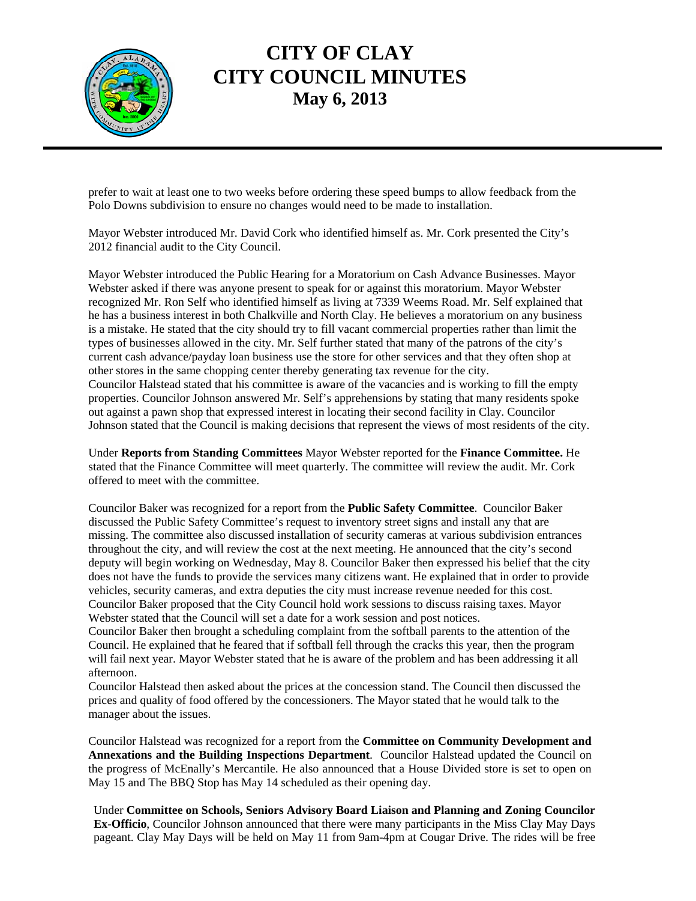

# **CITY OF CLAY CITY COUNCIL MINUTES May 6, 2013**

prefer to wait at least one to two weeks before ordering these speed bumps to allow feedback from the Polo Downs subdivision to ensure no changes would need to be made to installation.

Mayor Webster introduced Mr. David Cork who identified himself as. Mr. Cork presented the City's 2012 financial audit to the City Council.

Mayor Webster introduced the Public Hearing for a Moratorium on Cash Advance Businesses. Mayor Webster asked if there was anyone present to speak for or against this moratorium. Mayor Webster recognized Mr. Ron Self who identified himself as living at 7339 Weems Road. Mr. Self explained that he has a business interest in both Chalkville and North Clay. He believes a moratorium on any business is a mistake. He stated that the city should try to fill vacant commercial properties rather than limit the types of businesses allowed in the city. Mr. Self further stated that many of the patrons of the city's current cash advance/payday loan business use the store for other services and that they often shop at other stores in the same chopping center thereby generating tax revenue for the city. Councilor Halstead stated that his committee is aware of the vacancies and is working to fill the empty properties. Councilor Johnson answered Mr. Self's apprehensions by stating that many residents spoke out against a pawn shop that expressed interest in locating their second facility in Clay. Councilor Johnson stated that the Council is making decisions that represent the views of most residents of the city.

Under **Reports from Standing Committees** Mayor Webster reported for the **Finance Committee.** He stated that the Finance Committee will meet quarterly. The committee will review the audit. Mr. Cork offered to meet with the committee.

Councilor Baker was recognized for a report from the **Public Safety Committee**. Councilor Baker discussed the Public Safety Committee's request to inventory street signs and install any that are missing. The committee also discussed installation of security cameras at various subdivision entrances throughout the city, and will review the cost at the next meeting. He announced that the city's second deputy will begin working on Wednesday, May 8. Councilor Baker then expressed his belief that the city does not have the funds to provide the services many citizens want. He explained that in order to provide vehicles, security cameras, and extra deputies the city must increase revenue needed for this cost. Councilor Baker proposed that the City Council hold work sessions to discuss raising taxes. Mayor Webster stated that the Council will set a date for a work session and post notices.

Councilor Baker then brought a scheduling complaint from the softball parents to the attention of the Council. He explained that he feared that if softball fell through the cracks this year, then the program will fail next year. Mayor Webster stated that he is aware of the problem and has been addressing it all afternoon.

Councilor Halstead then asked about the prices at the concession stand. The Council then discussed the prices and quality of food offered by the concessioners. The Mayor stated that he would talk to the manager about the issues.

Councilor Halstead was recognized for a report from the **Committee on Community Development and Annexations and the Building Inspections Department**. Councilor Halstead updated the Council on the progress of McEnally's Mercantile. He also announced that a House Divided store is set to open on May 15 and The BBQ Stop has May 14 scheduled as their opening day.

Under **Committee on Schools, Seniors Advisory Board Liaison and Planning and Zoning Councilor Ex-Officio**, Councilor Johnson announced that there were many participants in the Miss Clay May Days pageant. Clay May Days will be held on May 11 from 9am-4pm at Cougar Drive. The rides will be free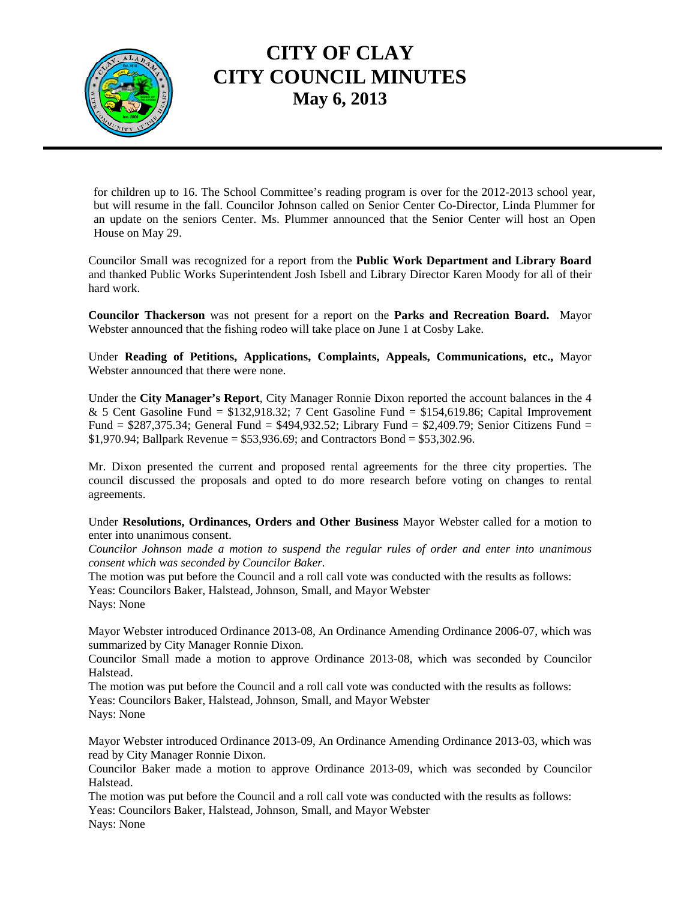

# **CITY OF CLAY CITY COUNCIL MINUTES May 6, 2013**

for children up to 16. The School Committee's reading program is over for the 2012-2013 school year, but will resume in the fall. Councilor Johnson called on Senior Center Co-Director, Linda Plummer for an update on the seniors Center. Ms. Plummer announced that the Senior Center will host an Open House on May 29.

Councilor Small was recognized for a report from the **Public Work Department and Library Board** and thanked Public Works Superintendent Josh Isbell and Library Director Karen Moody for all of their hard work.

**Councilor Thackerson** was not present for a report on the **Parks and Recreation Board.** Mayor Webster announced that the fishing rodeo will take place on June 1 at Cosby Lake.

Under **Reading of Petitions, Applications, Complaints, Appeals, Communications, etc.,** Mayor Webster announced that there were none.

Under the **City Manager's Report**, City Manager Ronnie Dixon reported the account balances in the 4 & 5 Cent Gasoline Fund =  $$132,918.32$ ; 7 Cent Gasoline Fund =  $$154,619.86$ ; Capital Improvement Fund = \$287,375.34; General Fund = \$494,932.52; Library Fund = \$2,409.79; Senior Citizens Fund = \$1,970.94; Ballpark Revenue = \$53,936.69; and Contractors Bond = \$53,302.96.

Mr. Dixon presented the current and proposed rental agreements for the three city properties. The council discussed the proposals and opted to do more research before voting on changes to rental agreements.

Under **Resolutions, Ordinances, Orders and Other Business** Mayor Webster called for a motion to enter into unanimous consent.

*Councilor Johnson made a motion to suspend the regular rules of order and enter into unanimous consent which was seconded by Councilor Baker.* 

The motion was put before the Council and a roll call vote was conducted with the results as follows: Yeas: Councilors Baker, Halstead, Johnson, Small, and Mayor Webster

Nays: None

Mayor Webster introduced Ordinance 2013-08, An Ordinance Amending Ordinance 2006-07, which was summarized by City Manager Ronnie Dixon.

Councilor Small made a motion to approve Ordinance 2013-08, which was seconded by Councilor Halstead.

The motion was put before the Council and a roll call vote was conducted with the results as follows: Yeas: Councilors Baker, Halstead, Johnson, Small, and Mayor Webster Nays: None

Mayor Webster introduced Ordinance 2013-09, An Ordinance Amending Ordinance 2013-03, which was read by City Manager Ronnie Dixon.

Councilor Baker made a motion to approve Ordinance 2013-09, which was seconded by Councilor Halstead.

The motion was put before the Council and a roll call vote was conducted with the results as follows: Yeas: Councilors Baker, Halstead, Johnson, Small, and Mayor Webster Nays: None